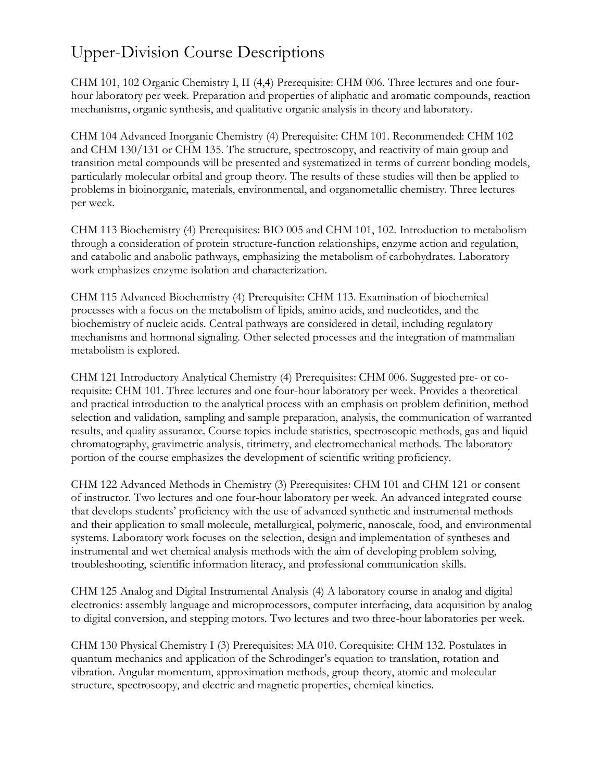## Upper-Division Course Descriptions

CHM 101, 102 Organic Chemistry I, II (4,4) Prerequisite: CHM 006. Three lectures and one fourhour laboratory per week. Preparation and properties of aliphatic and aromatic compounds, reaction mechanisms, organic synthesis, and qualitative organic analysis in theory and laboratory.

CHM 104 Advanced Inorganic Chemistry (4) Prerequisite: CHM 101. Recommended: CHM 102 and CHM 130/131 or CHM 135. The structure, spectroscopy, and reactivity of main group and transition metal compounds will be presented and systematized in terms of current bonding models, particularly molecular orbital and group theory. The results of these studies will then be applied to problems in bioinorganic, materials, environmental, and organometallic chemistry. Three lectures per week.

CHM 113 Biochemistry (4) Prerequisites: BIO 005 and CHM 101, 102. Introduction to metabolism through a consideration of protein structure-function relationships, enzyme action and regulation, and catabolic and anabolic pathways, emphasizing the metabolism of carbohydrates. Laboratory work emphasizes enzyme isolation and characterization.

CHM 115 Advanced Biochemistry (4) Prerequisite: CHM 113. Examination of biochemical processes with a focus on the metabolism of lipids, amino acids, and nucleotides, and the biochemistry of nucleic acids. Central pathways are considered in detail, including regulatory mechanisms and hormonal signaling. Other selected processes and the integration of mammalian metabolism is explored.

CHM 121 Introductory Analytical Chemistry (4) Prerequisites: CHM 006. Suggested pre- or corequisite: CHM 101. Three lectures and one four-hour laboratory per week. Provides a theoretical and practical introduction to the analytical process with an emphasis on problem definition, method selection and validation, sampling and sample preparation, analysis, the communication of warranted results, and quality assurance. Course topics include statistics, spectroscopic methods, gas and liquid chromatography, gravimetric analysis, titrimetry, and electromechanical methods. The laboratory portion of the course emphasizes the development of scientific writing proficiency.

CHM 122 Advanced Methods in Chemistry (3) Prerequisites: CHM 101 and CHM 121 or consent of instructor. Two lectures and one four-hour laboratory per week. An advanced integrated course that develops students' proficiency with the use of advanced synthetic and instrumental methods and their application to small molecule, metallurgical, polymeric, nanoscale, food, and environmental systems. Laboratory work focuses on the selection, design and implementation of syntheses and instrumental and wet chemical analysis methods with the aim of developing problem solving, troubleshooting, scientific information literacy, and professional communication skills.

CHM 125 Analog and Digital Instrumental Analysis (4) A laboratory course in analog and digital electronics: assembly language and microprocessors, computer interfacing, data acquisition by analog to digital conversion, and stepping motors. Two lectures and two three-hour laboratories per week.

CHM 130 Physical Chemistry I (3) Prerequisites: MA 010. Corequisite: CHM 132. Postulates in quantum mechanics and application of the Schrodinger's equation to translation, rotation and vibration. Angular momentum, approximation methods, group theory, atomic and molecular structure, spectroscopy, and electric and magnetic properties, chemical kinetics.